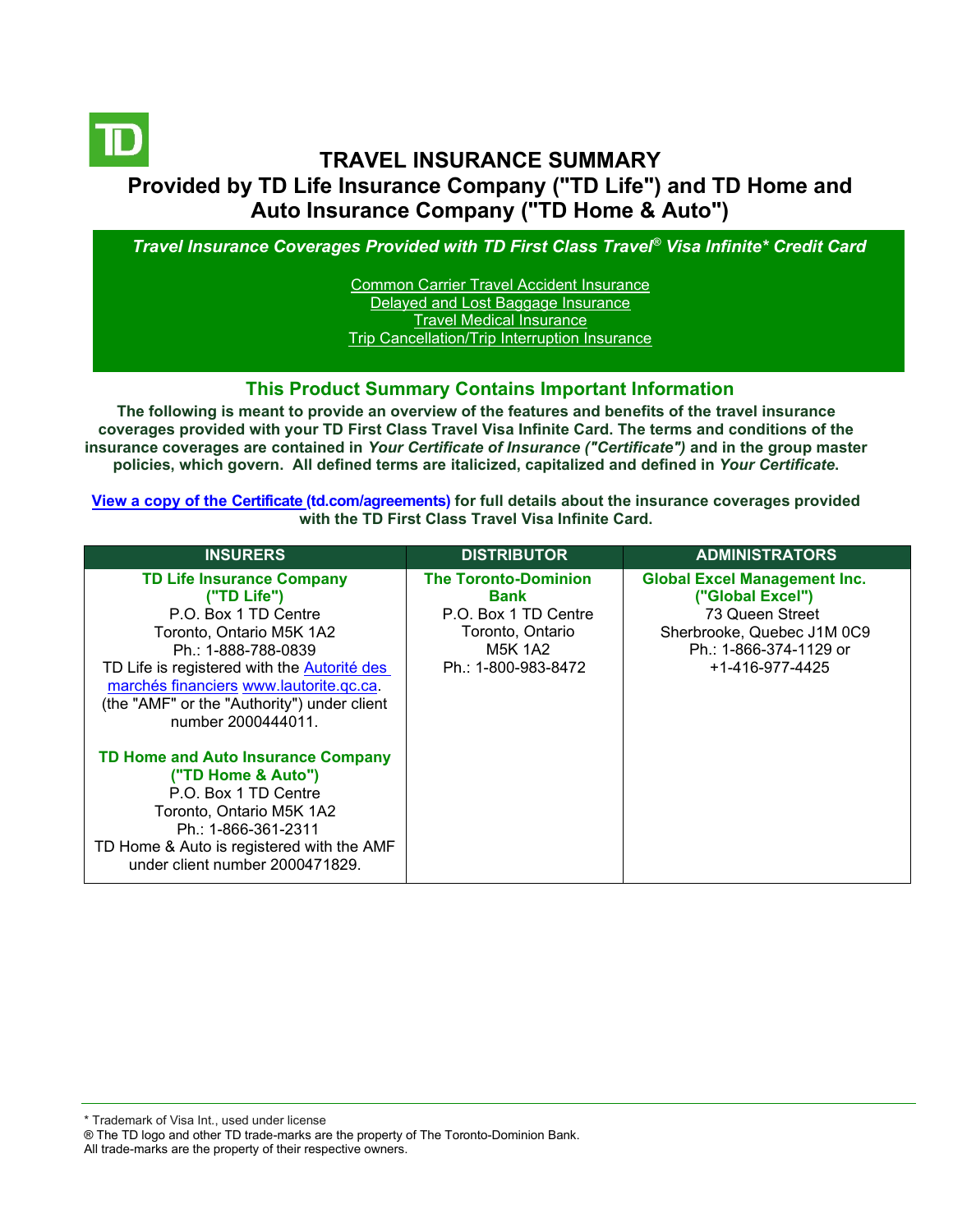

# **TRAVEL INSURANCE SUMMARY Provided by TD Life Insurance Company ("TD Life") and TD Home and Auto Insurance Company ("TD Home & Auto")**

*Travel Insurance Coverages Provided with TD First Class Travel® Visa Infinite\* Credit Card*

[Common Carrier Travel Accident Insurance](#page-3-0) [Delayed and Lost Baggage Insurance](#page-4-0) [Travel Medical Insurance](#page-5-0) [Trip Cancellation/Trip Interruption Insurance](#page-6-0)

#### **This Product Summary Contains Important Information**

**The following is meant to provide an overview of the features and benefits of the travel insurance coverages provided with your TD First Class Travel Visa Infinite Card. The terms and conditions of the insurance coverages are contained in** *Your Certificate of Insurance ("Certificate")* **and in the group master policies, which govern. All defined terms are italicized, capitalized and defined in** *Your Certificate***.**

**[View a copy of the Certificate](https://www.td.com/ca/en/personal-banking/how-to/manage-my-credit-card/getting-started/?tdtab=4) (td.com/agreements) for full details about the insurance coverages provided with the TD First Class Travel Visa Infinite Card.** 

| <b>INSURERS</b>                                                                                                                                                                                                                                                                           | <b>DISTRIBUTOR</b>                                                                                                | <b>ADMINISTRATORS</b>                                                                                                                                 |
|-------------------------------------------------------------------------------------------------------------------------------------------------------------------------------------------------------------------------------------------------------------------------------------------|-------------------------------------------------------------------------------------------------------------------|-------------------------------------------------------------------------------------------------------------------------------------------------------|
| <b>TD Life Insurance Company</b><br>("TD Life")<br>P.O. Box 1 TD Centre<br>Toronto, Ontario M5K 1A2<br>Ph.: 1-888-788-0839<br>TD Life is registered with the Autorité des<br>marchés financiers www.lautorite.gc.ca.<br>(the "AMF" or the "Authority") under client<br>number 2000444011. | <b>The Toronto-Dominion</b><br>Bank<br>P.O. Box 1 TD Centre<br>Toronto, Ontario<br>M5K 1A2<br>Ph.: 1-800-983-8472 | <b>Global Excel Management Inc.</b><br>("Global Excel")<br>73 Queen Street<br>Sherbrooke, Quebec J1M 0C9<br>Ph.: 1-866-374-1129 or<br>+1-416-977-4425 |
| <b>TD Home and Auto Insurance Company</b><br>("TD Home & Auto")<br>P.O. Box 1 TD Centre<br>Toronto, Ontario M5K 1A2<br>Ph.: 1-866-361-2311<br>TD Home & Auto is registered with the AMF<br>under client number 2000471829.                                                                |                                                                                                                   |                                                                                                                                                       |

\* Trademark of Visa Int., used under license

All trade-marks are the property of their respective owners.

<sup>®</sup> The TD logo and other TD trade-marks are the property of The Toronto-Dominion Bank.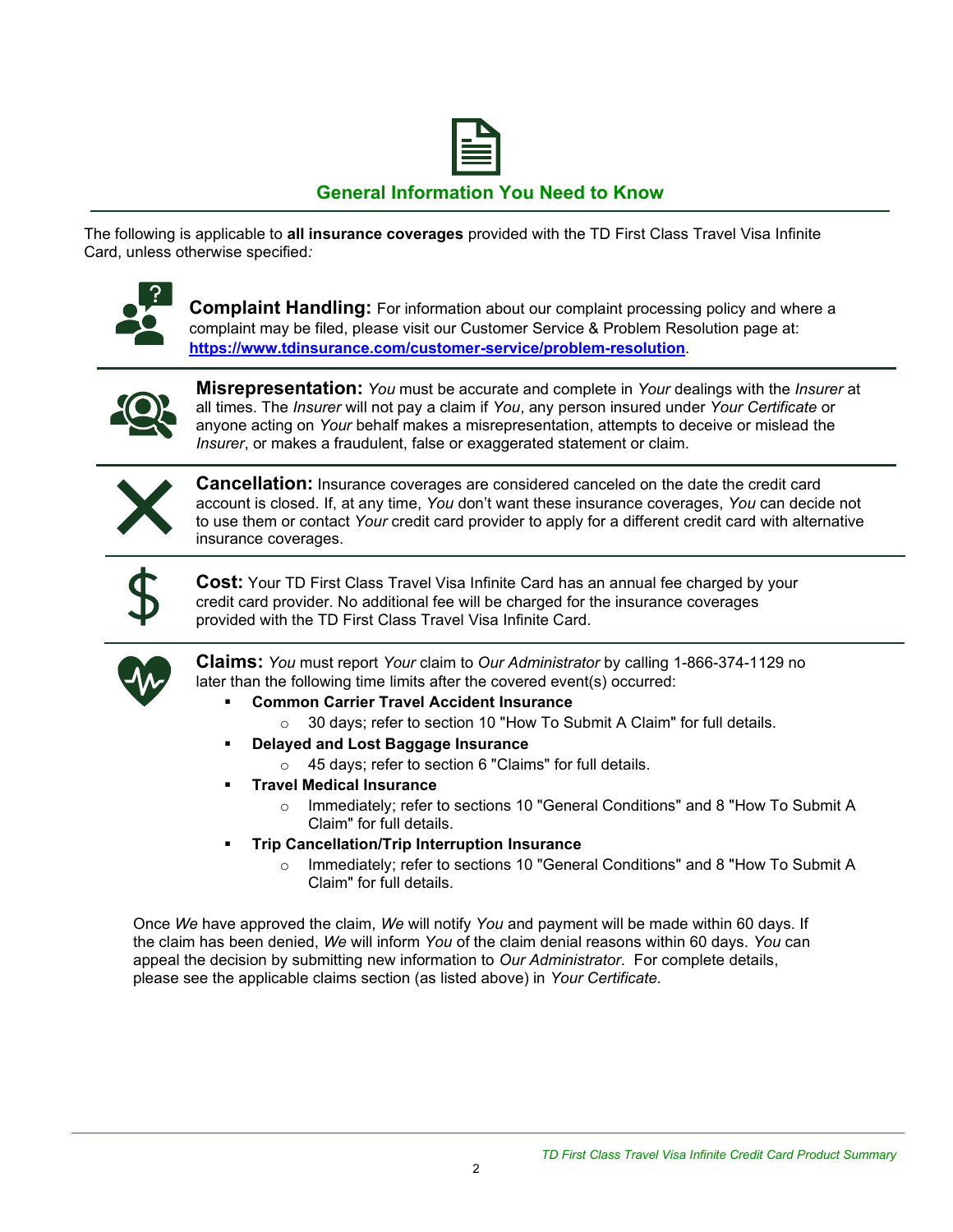

## **General Information You Need to Know**

The following is applicable to **all insurance coverages** provided with the TD First Class Travel Visa Infinite Card, unless otherwise specified*:*



**Complaint Handling:** For information about our complaint processing policy and where a complaint may be filed, please visit our Customer Service & Problem Resolution page at: **<https://www.tdinsurance.com/customer-service/problem-resolution>**.



**Misrepresentation:** *You* must be accurate and complete in *Your* dealings with the *Insurer* at all times. The *Insurer* will not pay a claim if *You*, any person insured under *Your Certificate* or anyone acting on *Your* behalf makes a misrepresentation, attempts to deceive or mislead the *Insurer*, or makes a fraudulent, false or exaggerated statement or claim.



**Cancellation:** Insurance coverages are considered canceled on the date the credit card account is closed. If, at any time, *You* don't want these insurance coverages, *You* can decide not to use them or contact *Your* credit card provider to apply for a different credit card with alternative insurance coverages.



**Cost:** Your TD First Class Travel Visa Infinite Card has an annual fee charged by your credit card provider. No additional fee will be charged for the insurance coverages provided with the TD First Class Travel Visa Infinite Card.



**Claims:** *You* must report *Your* claim to *Our Administrator* by calling 1-866-374-1129 no later than the following time limits after the covered event(s) occurred:

- **Common Carrier Travel Accident Insurance** 
	- o 30 days; refer to section 10 "How To Submit A Claim" for full details.
- **Delayed and Lost Baggage Insurance** 
	- o 45 days; refer to section 6 "Claims" for full details.
- **Travel Medical Insurance** 
	- o Immediately; refer to sections 10 "General Conditions" and 8 "How To Submit A Claim" for full details.
- **Trip Cancellation/Trip Interruption Insurance** 
	- o Immediately; refer to sections 10 "General Conditions" and 8 "How To Submit A Claim" for full details.

Once *We* have approved the claim, *We* will notify *You* and payment will be made within 60 days. If the claim has been denied, *We* will inform *You* of the claim denial reasons within 60 days. *You* can appeal the decision by submitting new information to *Our Administrator*. For complete details, please see the applicable claims section (as listed above) in *Your Certificate.*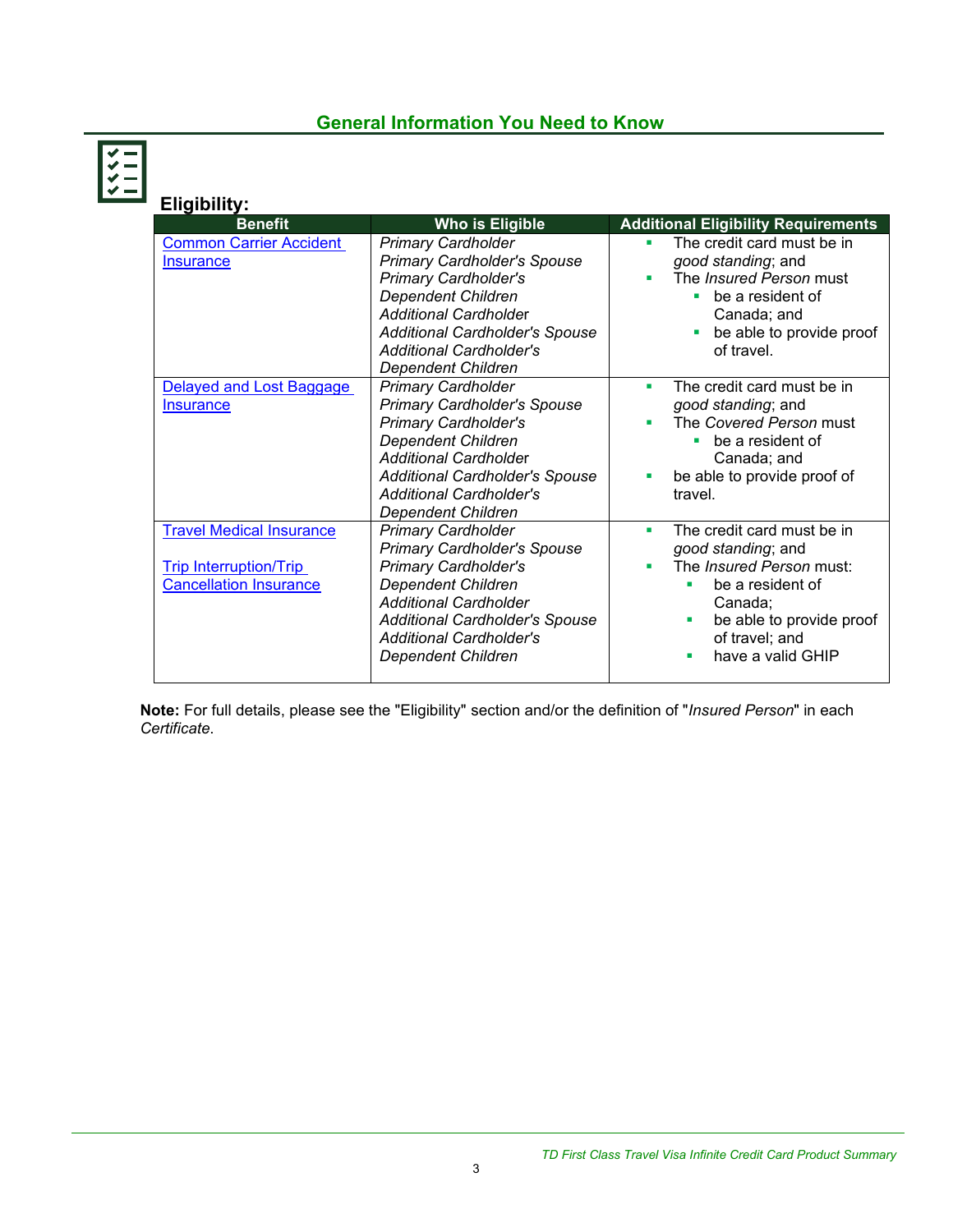# **General Information You Need to Know**

| <b>Eligibility:</b>                                                                               |                                                                                                                                                                                                                                                                     |                                                                                                                                                                                               |
|---------------------------------------------------------------------------------------------------|---------------------------------------------------------------------------------------------------------------------------------------------------------------------------------------------------------------------------------------------------------------------|-----------------------------------------------------------------------------------------------------------------------------------------------------------------------------------------------|
| <b>Benefit</b>                                                                                    | Who is Eligible                                                                                                                                                                                                                                                     | <b>Additional Eligibility Requirements</b>                                                                                                                                                    |
| <b>Common Carrier Accident</b><br><b>Insurance</b>                                                | <b>Primary Cardholder</b><br><b>Primary Cardholder's Spouse</b><br><b>Primary Cardholder's</b><br><b>Dependent Children</b><br><b>Additional Cardholder</b><br><b>Additional Cardholder's Spouse</b><br><b>Additional Cardholder's</b><br><b>Dependent Children</b> | The credit card must be in<br>٠<br>good standing; and<br>The <i>Insured Person</i> must<br>be a resident of<br>٠<br>Canada; and<br>be able to provide proof<br>of travel.                     |
| Delayed and Lost Baggage<br><b>Insurance</b>                                                      | <b>Primary Cardholder</b><br><b>Primary Cardholder's Spouse</b><br><b>Primary Cardholder's</b><br>Dependent Children<br><b>Additional Cardholder</b><br><b>Additional Cardholder's Spouse</b><br><b>Additional Cardholder's</b><br><b>Dependent Children</b>        | The credit card must be in<br>٠<br>good standing; and<br>The Covered Person must<br>be a resident of<br>٠<br>Canada; and<br>be able to provide proof of<br>٠<br>travel.                       |
| <b>Travel Medical Insurance</b><br><b>Trip Interruption/Trip</b><br><b>Cancellation Insurance</b> | <b>Primary Cardholder</b><br><b>Primary Cardholder's Spouse</b><br><b>Primary Cardholder's</b><br><b>Dependent Children</b><br><b>Additional Cardholder</b><br><b>Additional Cardholder's Spouse</b><br><b>Additional Cardholder's</b><br><b>Dependent Children</b> | The credit card must be in<br>٠<br>good standing; and<br>The Insured Person must:<br>be a resident of<br>Canada:<br>be able to provide proof<br>٠<br>of travel; and<br>have a valid GHIP<br>٠ |

**Note:** For full details, please see the "Eligibility" section and/or the definition of "*Insured Person*" in each *Certificate*.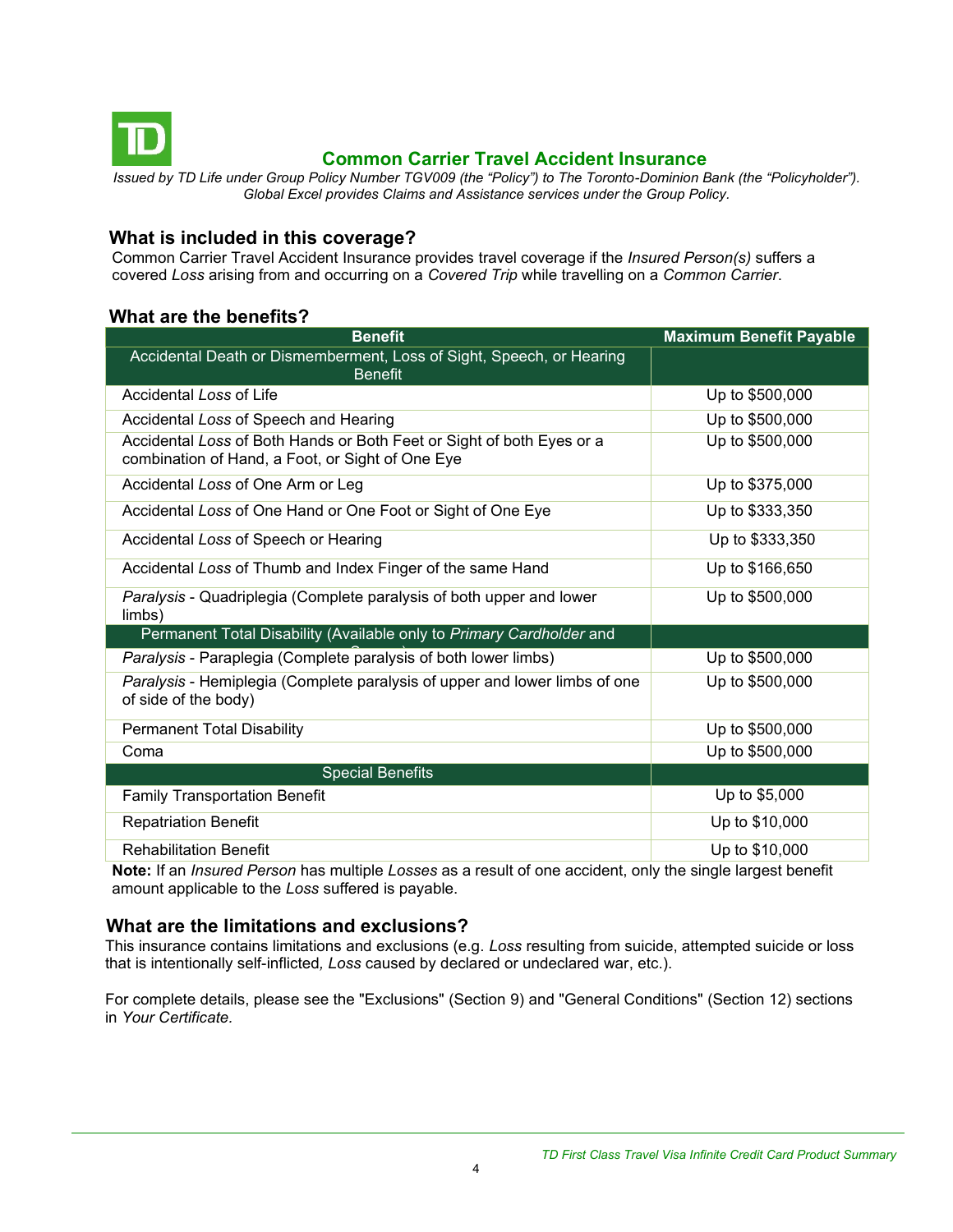<span id="page-3-0"></span>

## **Common Carrier Travel Accident Insurance**

*Issued by TD Life under Group Policy Number TGV009 (the "Policy") to The Toronto-Dominion Bank (the "Policyholder"). Global Excel provides Claims and Assistance services under the Group Policy.*

#### **What is included in this coverage?**

Common Carrier Travel Accident Insurance provides travel coverage if the *Insured Person(s)* suffers a covered *Loss* arising from and occurring on a *Covered Trip* while travelling on a *Common Carrier*.

#### **What are the benefits?**

| <b>Benefit</b>                                                                                                            | <b>Maximum Benefit Payable</b> |
|---------------------------------------------------------------------------------------------------------------------------|--------------------------------|
| Accidental Death or Dismemberment, Loss of Sight, Speech, or Hearing<br><b>Benefit</b>                                    |                                |
| Accidental Loss of Life                                                                                                   | Up to \$500,000                |
| Accidental Loss of Speech and Hearing                                                                                     | Up to \$500,000                |
| Accidental Loss of Both Hands or Both Feet or Sight of both Eyes or a<br>combination of Hand, a Foot, or Sight of One Eye | Up to \$500,000                |
| Accidental Loss of One Arm or Leg                                                                                         | Up to \$375,000                |
| Accidental Loss of One Hand or One Foot or Sight of One Eye                                                               | Up to \$333,350                |
| Accidental Loss of Speech or Hearing                                                                                      | Up to \$333,350                |
| Accidental Loss of Thumb and Index Finger of the same Hand                                                                | Up to \$166,650                |
| Paralysis - Quadriplegia (Complete paralysis of both upper and lower<br>limbs)                                            | Up to \$500,000                |
| Permanent Total Disability (Available only to Primary Cardholder and                                                      |                                |
| Paralysis - Paraplegia (Complete paralysis of both lower limbs)                                                           | Up to \$500,000                |
| Paralysis - Hemiplegia (Complete paralysis of upper and lower limbs of one<br>of side of the body)                        | Up to \$500,000                |
| <b>Permanent Total Disability</b>                                                                                         | Up to \$500,000                |
| Coma                                                                                                                      | Up to \$500,000                |
| <b>Special Benefits</b>                                                                                                   |                                |
| <b>Family Transportation Benefit</b>                                                                                      | Up to \$5,000                  |
| <b>Repatriation Benefit</b>                                                                                               | Up to \$10,000                 |
| <b>Rehabilitation Benefit</b>                                                                                             | Up to \$10,000                 |

**Note:** If an *Insured Person* has multiple *Losses* as a result of one accident, only the single largest benefit amount applicable to the *Loss* suffered is payable.

#### **What are the limitations and exclusions?**

This insurance contains limitations and exclusions (e.g. *Loss* resulting from suicide, attempted suicide or loss that is intentionally self-inflicted*, Loss* caused by declared or undeclared war, etc.).

For complete details, please see the "Exclusions" (Section 9) and "General Conditions" (Section 12) sections in *Your Certificate.*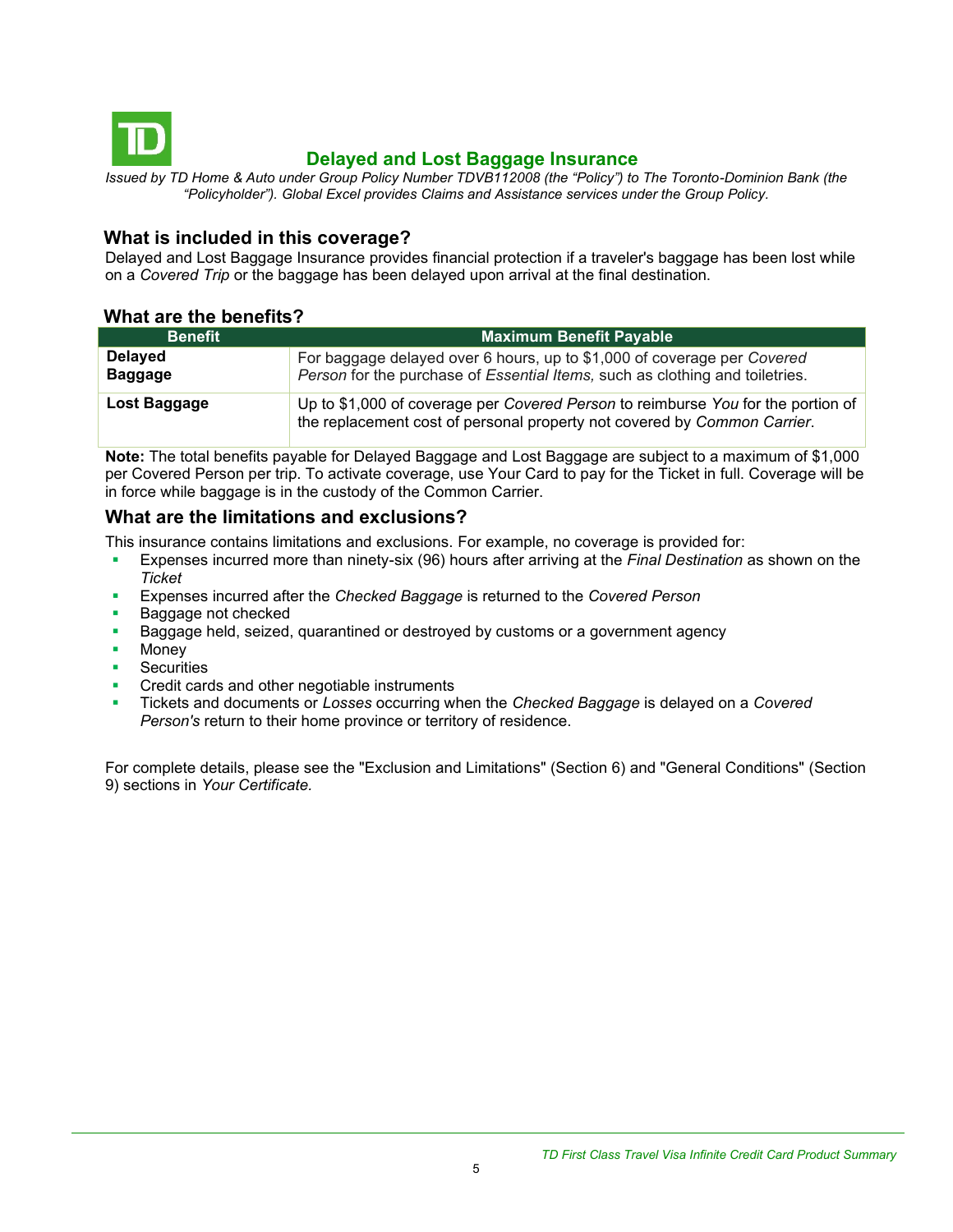<span id="page-4-0"></span>

## **Delayed and Lost Baggage Insurance**

*Issued by TD Home & Auto under Group Policy Number TDVB112008 (the "Policy") to The Toronto-Dominion Bank (the "Policyholder"). Global Excel provides Claims and Assistance services under the Group Policy.*

#### **What is included in this coverage?**

Delayed and Lost Baggage Insurance provides financial protection if a traveler's baggage has been lost while on a *Covered Trip* or the baggage has been delayed upon arrival at the final destination.

#### **What are the benefits?**

| <b>Benefit</b>                   | <b>Maximum Benefit Payable</b>                                                                                                                               |
|----------------------------------|--------------------------------------------------------------------------------------------------------------------------------------------------------------|
| <b>Delayed</b><br><b>Baggage</b> | For baggage delayed over 6 hours, up to \$1,000 of coverage per Covered<br>Person for the purchase of Essential Items, such as clothing and toiletries.      |
| Lost Baggage                     | Up to \$1,000 of coverage per Covered Person to reimburse You for the portion of<br>the replacement cost of personal property not covered by Common Carrier. |

**Note:** The total benefits payable for Delayed Baggage and Lost Baggage are subject to a maximum of \$1,000 per Covered Person per trip. To activate coverage, use Your Card to pay for the Ticket in full. Coverage will be in force while baggage is in the custody of the Common Carrier.

### **What are the limitations and exclusions?**

This insurance contains limitations and exclusions. For example, no coverage is provided for:

- Expenses incurred more than ninety-six (96) hours after arriving at the *Final Destination* as shown on the *Ticket*
- Expenses incurred after the *Checked Baggage* is returned to the *Covered Person*
- Baggage not checked
- Baggage held, seized, quarantined or destroyed by customs or a government agency
- **Money**
- **Securities**
- Credit cards and other negotiable instruments
- Tickets and documents or *Losses* occurring when the *Checked Baggage* is delayed on a *Covered Person's* return to their home province or territory of residence.

For complete details, please see the "Exclusion and Limitations" (Section 6) and "General Conditions" (Section 9) sections in *Your Certificate.*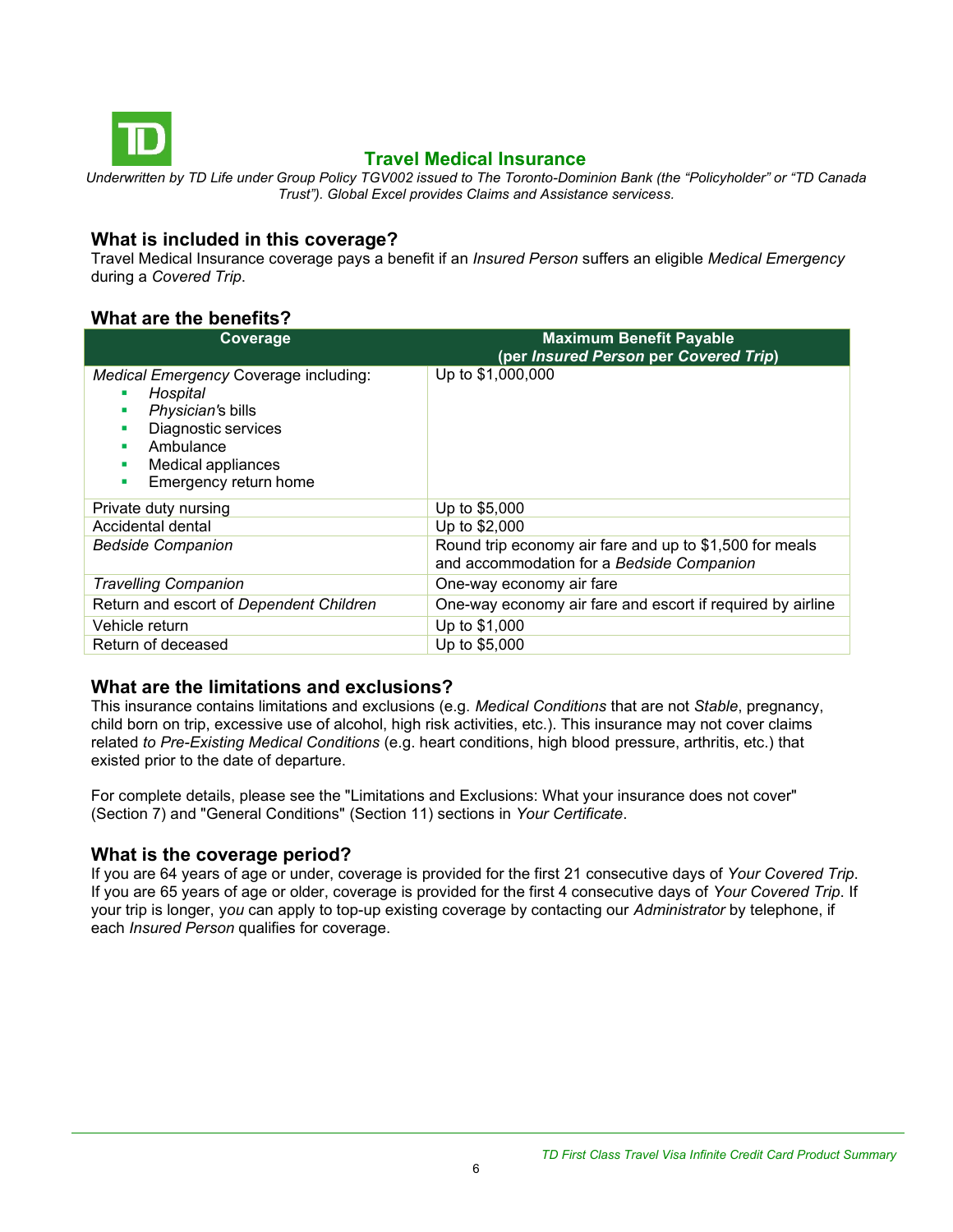<span id="page-5-0"></span>

## **Travel Medical Insurance**

*Underwritten by TD Life under Group Policy TGV002 issued to The Toronto-Dominion Bank (the "Policyholder" or "TD Canada Trust"). Global Excel provides Claims and Assistance servicess.*

#### **What is included in this coverage?**

Travel Medical Insurance coverage pays a benefit if an *Insured Person* suffers an eligible *Medical Emergency*  during a *Covered Trip*.

## **What are the benefits?**

| Coverage                                                                                                                                                                           | <b>Maximum Benefit Payable</b><br>(per Insured Person per Covered Trip)                              |
|------------------------------------------------------------------------------------------------------------------------------------------------------------------------------------|------------------------------------------------------------------------------------------------------|
| Medical Emergency Coverage including:<br>Hospital<br>Physician's bills<br>п<br>Diagnostic services<br>п<br>Ambulance<br>٠<br>Medical appliances<br>п<br>Emergency return home<br>٠ | Up to \$1,000,000                                                                                    |
| Private duty nursing                                                                                                                                                               | Up to \$5,000                                                                                        |
| Accidental dental                                                                                                                                                                  | Up to \$2,000                                                                                        |
| <b>Bedside Companion</b>                                                                                                                                                           | Round trip economy air fare and up to \$1,500 for meals<br>and accommodation for a Bedside Companion |
| <b>Travelling Companion</b>                                                                                                                                                        | One-way economy air fare                                                                             |
| Return and escort of Dependent Children                                                                                                                                            | One-way economy air fare and escort if required by airline                                           |
| Vehicle return                                                                                                                                                                     | Up to \$1,000                                                                                        |
| Return of deceased                                                                                                                                                                 | Up to \$5,000                                                                                        |

## **What are the limitations and exclusions?**

This insurance contains limitations and exclusions (e.g. *Medical Conditions* that are not *Stable*, pregnancy, child born on trip, excessive use of alcohol, high risk activities, etc.). This insurance may not cover claims related *to Pre-Existing Medical Conditions* (e.g. heart conditions, high blood pressure, arthritis, etc.) that existed prior to the date of departure.

For complete details, please see the "Limitations and Exclusions: What your insurance does not cover" (Section 7) and "General Conditions" (Section 11) sections in *Your Certificate*.

#### **What is the coverage period?**

If you are 64 years of age or under, coverage is provided for the first 21 consecutive days of *Your Covered Trip*. If you are 65 years of age or older, coverage is provided for the first 4 consecutive days of *Your Covered Trip*. If your trip is longer, y*ou* can apply to top-up existing coverage by contacting our *Administrator* by telephone, if each *Insured Person* qualifies for coverage.